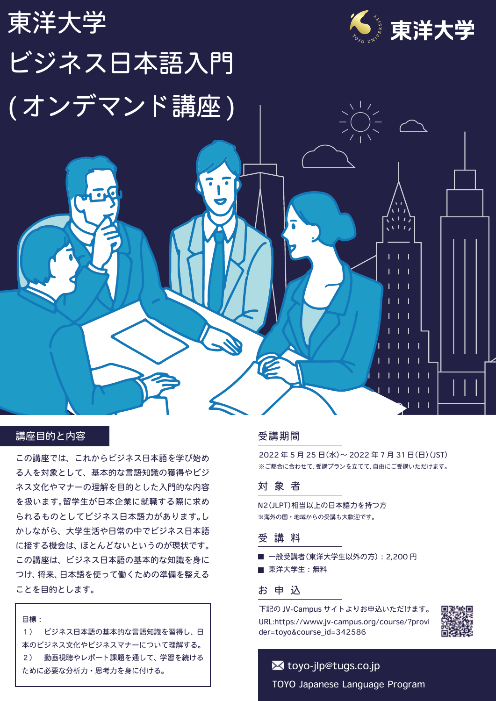

## 講座目的と内容

この講座では、これからビジネス日本語を学び始め る人を対象として、基本的な言語知識の獲得やビジ ネス文化やマナーの理解を目的とした入門的な内容 を扱います。留学生が日本企業に就職する際に求め られるものとしてビジネス日本語力があります。し かしながら、大学生活や日常の中でビジネス日本語 に接する機会は、ほとんどないというのが現状です。 この講座は、ビジネス日本語の基本的な知識を身に つけ、将来、日本語を使って働くための準備を整える ことを目的とします。

目標: 1) ビジネス日本語の基本的な言語知識を習得し、日 本のビジネス文化やビジネスマナーについて理解する。 2) 動画視聴やレポート課題を通して、学習を続ける ために必要な分析力・思考力を身に付ける。

#### 受講期間

2022 年 5 月 25 日(水)~ 2022 年 7 月 31 日(日)(JST) ※ご都合に合わせて、受講プランを立てて、自由にご受講いただけます。

## 対象者

N2(JLPT)相当以上の日本語力を持つ方 ※海外の国・地域からの受講も大歓迎です。

#### 受講料

一般受講者(東洋大学生以外の方):2,200 円 ■ 東洋大学生:無料

### お申込

下記の JV-Campus サイトよりお申込いただけます。 URL:https://www.jv-campus.org/course/?provi der=toyo&course\_id=342586



# TOYO Japanese Language Program **x** toyo-jlp@tugs.co.jp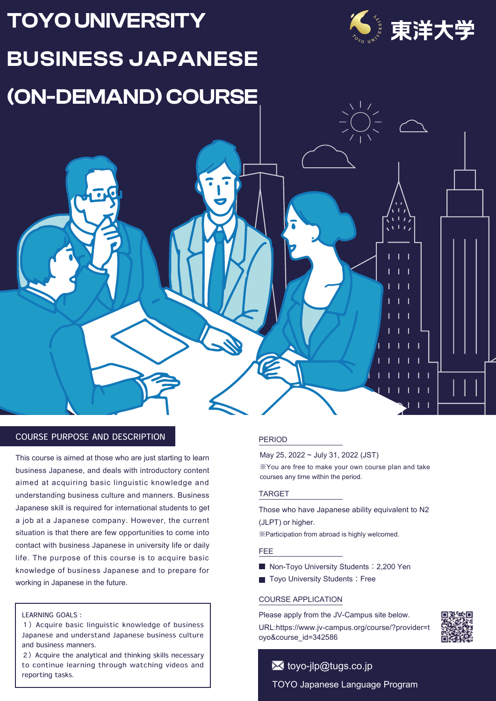# **TOYO UNIVERSITY BUSINESS JAPANESE (ON-DEMAND) COURSE**



 $\overline{1}$  $\mathbf{I}$ 

> $\blacksquare$ T

> $\blacksquare$ т

 $\overline{1}$  $\overline{\phantom{a}}$  $\blacksquare$ T

> $\blacksquare$  $\mathbf{L}$  $\mathbf{I}$

> > - 1  $\mathbf{I}$

 $\mathbf{I}$  $\overline{\phantom{a}}$ 

## COURSE PURPOSE AND DESCRIPTION

This course is aimed at those who are just starting to learn business Japanese, and deals with introductory content aimed at acquiring basic linguistic knowledge and understanding business culture and manners. Business Japanese skill is required for international students to get a job at a Japanese company. However, the current situation is that there are few opportunities to come into contact with business Japanese in university life or daily life. The purpose of this course is to acquire basic knowledge of business Japanese and to prepare for working in Japanese in the future.

#### LEARNING GOALS:

1) Acquire basic linguistic knowledge of business Japanese and understand Japanese business culture and business manners.

2) Acquire the analytical and thinking skills necessary to continue learning through watching videos and reporting tasks.

#### PERIOD

May 25, 2022 ~ July 31, 2022 (JST) ※You are free to make your own course plan and take courses any time within the period.

#### TARGET

Those who have Japanese ability equivalent to N2 (JLPT) or higher.

※Participation from abroad is highly welcomed.

#### FEE

- Non-Toyo University Students: 2,200 Yen
- Toyo University Students: Free

#### COURSE APPLICATION

oyo&course\_id=342586

Please apply from the JV-Campus site below. URL:https://www.jv-campus.org/course/?provider=t

## TOYO Japanese Language Program **X** toyo-jlp@tugs.co.jp